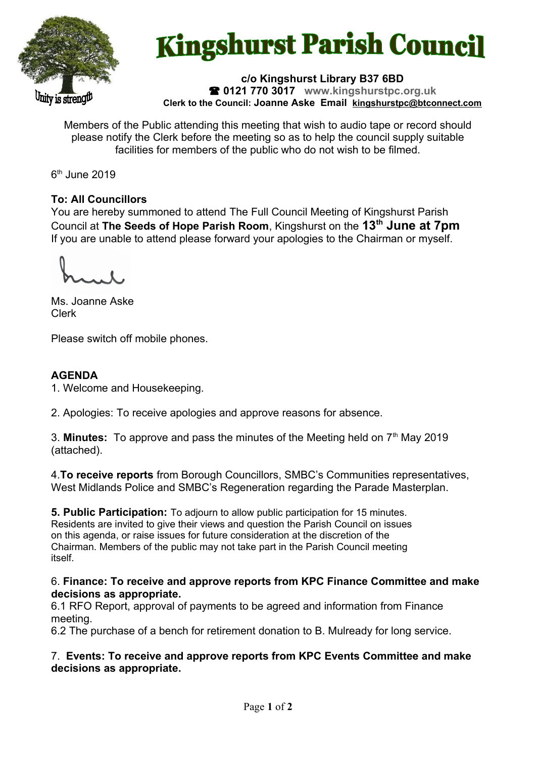

# **Kingshurst Parish Council**

**c/o Kingshurst Library B37 6BD 0121 770 3017 www.kingshurstpc.org.uk Clerk to the Council: Joanne Aske Email [kingshurstpc@btconnect.com](mailto:kingshurstpc@btconnect.com)**

Members of the Public attending this meeting that wish to audio tape or record should please notify the Clerk before the meeting so as to help the council supply suitable facilities for members of the public who do not wish to be filmed.

6 th June 2019

# **To: All Councillors**

You are hereby summoned to attend The Full Council Meeting of Kingshurst Parish Council at **The Seeds of Hope Parish Room**, Kingshurst on the **13th June at 7pm** If you are unable to attend please forward your apologies to the Chairman or myself.

Ms. Joanne Aske Clerk

Please switch off mobile phones.

# **AGENDA**

1. Welcome and Housekeeping.

2. Apologies: To receive apologies and approve reasons for absence.

3. **Minutes:** To approve and pass the minutes of the Meeting held on 7<sup>th</sup> May 2019 (attached).

4.**To receive reports** from Borough Councillors, SMBC's Communities representatives, West Midlands Police and SMBC's Regeneration regarding the Parade Masterplan.

**5. Public Participation:** To adjourn to allow public participation for 15 minutes. Residents are invited to give their views and question the Parish Council on issues on this agenda, or raise issues for future consideration at the discretion of the Chairman. Members of the public may not take part in the Parish Council meeting itself.

#### 6. **Finance: To receive and approve reports from KPC Finance Committee and make decisions as appropriate.**

6.1 RFO Report, approval of payments to be agreed and information from Finance meeting.

6.2 The purchase of a bench for retirement donation to B. Mulready for long service.

#### 7. **Events: To receive and approve reports from KPC Events Committee and make decisions as appropriate.**